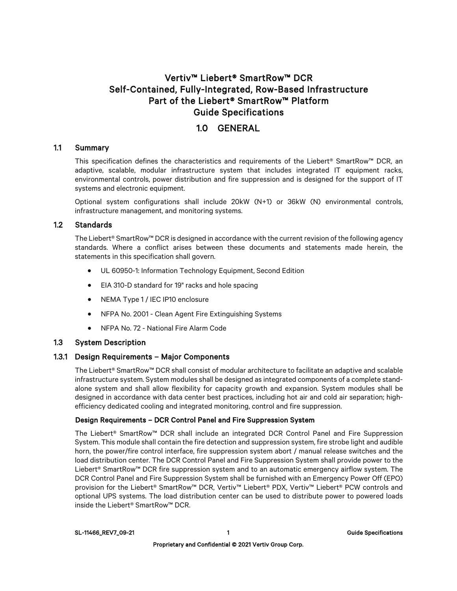# Vertiv™ Liebert® SmartRow™ DCR Self-Contained, Fully-Integrated, Row-Based Infrastructure Part of the Liebert® SmartRow™ Platform Guide Specifications

# 1.0 GENERAL

### 1.1 Summary

This specification defines the characteristics and requirements of the Liebert® SmartRow™ DCR, an adaptive, scalable, modular infrastructure system that includes integrated IT equipment racks, environmental controls, power distribution and fire suppression and is designed for the support of IT systems and electronic equipment.

Optional system configurations shall include 20kW (N+1) or 36kW (N) environmental controls, infrastructure management, and monitoring systems.

### 1.2 Standards

The Liebert® SmartRow™ DCR is designed in accordance with the current revision of the following agency standards. Where a conflict arises between these documents and statements made herein, the statements in this specification shall govern.

- UL 60950-1: Information Technology Equipment, Second Edition
- EIA 310-D standard for 19" racks and hole spacing
- NEMA Type 1 / IEC IP10 enclosure
- NFPA No. 2001 Clean Agent Fire Extinguishing Systems
- NFPA No. 72 National Fire Alarm Code

# 1.3 System Description

# 1.3.1 Design Requirements – Major Components

The Liebert® SmartRow™ DCR shall consist of modular architecture to facilitate an adaptive and scalable infrastructure system. System modules shall be designed as integrated components of a complete standalone system and shall allow flexibility for capacity growth and expansion. System modules shall be designed in accordance with data center best practices, including hot air and cold air separation; highefficiency dedicated cooling and integrated monitoring, control and fire suppression.

### Design Requirements – DCR Control Panel and Fire Suppression System

The Liebert® SmartRow™ DCR shall include an integrated DCR Control Panel and Fire Suppression System. This module shall contain the fire detection and suppression system, fire strobe light and audible horn, the power/fire control interface, fire suppression system abort / manual release switches and the load distribution center. The DCR Control Panel and Fire Suppression System shall provide power to the Liebert® SmartRow™ DCR fire suppression system and to an automatic emergency airflow system. The DCR Control Panel and Fire Suppression System shall be furnished with an Emergency Power Off (EPO) provision for the Liebert® SmartRow™ DCR, Vertiv™ Liebert® PDX, Vertiv™ Liebert® PCW controls and optional UPS systems. The load distribution center can be used to distribute power to powered loads inside the Liebert® SmartRow™ DCR.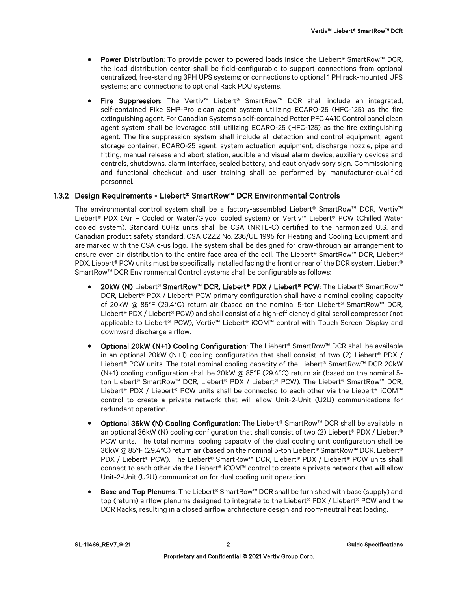- Power Distribution: To provide power to powered loads inside the Liebert® SmartRow™ DCR, the load distribution center shall be field-configurable to support connections from optional centralized, free-standing 3PH UPS systems; or connections to optional 1 PH rack-mounted UPS systems; and connections to optional Rack PDU systems.
- Fire Suppression: The Vertiv™ Liebert® SmartRow™ DCR shall include an integrated, self-contained Fike SHP-Pro clean agent system utilizing ECARO-25 (HFC-125) as the fire extinguishing agent. For Canadian Systems a self-contained Potter PFC 4410 Control panel clean agent system shall be leveraged still utilizing ECARO-25 (HFC-125) as the fire extinguishing agent. The fire suppression system shall include all detection and control equipment, agent storage container, ECARO-25 agent, system actuation equipment, discharge nozzle, pipe and fitting, manual release and abort station, audible and visual alarm device, auxiliary devices and controls, shutdowns, alarm interface, sealed battery, and caution/advisory sign. Commissioning and functional checkout and user training shall be performed by manufacturer-qualified personnel.

### 1.3.2 Design Requirements - Liebert® SmartRow™ DCR Environmental Controls

The environmental control system shall be a factory-assembled Liebert® SmartRow™ DCR, Vertiv™ Liebert® PDX (Air – Cooled or Water/Glycol cooled system) or Vertiv™ Liebert® PCW (Chilled Water cooled system). Standard 60Hz units shall be CSA (NRTL-C) certified to the harmonized U.S. and Canadian product safety standard, CSA C22.2 No. 236/UL 1995 for Heating and Cooling Equipment and are marked with the CSA c-us logo. The system shall be designed for draw-through air arrangement to ensure even air distribution to the entire face area of the coil. The Liebert® SmartRow™ DCR, Liebert® PDX, Liebert® PCW units must be specifically installed facing the front or rear of the DCR system. Liebert® SmartRow™ DCR Environmental Control systems shall be configurable as follows:

- 20kW (N) Liebert® SmartRow™ DCR, Liebert® PDX / Liebert® PCW: The Liebert® SmartRow™ DCR, Liebert® PDX / Liebert® PCW primary configuration shall have a nominal cooling capacity of 20kW @ 85°F (29.4°C) return air (based on the nominal 5-ton Liebert® SmartRow™ DCR, Liebert® PDX / Liebert® PCW) and shall consist of a high-efficiency digital scroll compressor (not applicable to Liebert® PCW), Vertiv™ Liebert® iCOM™ control with Touch Screen Display and downward discharge airflow.
- Optional 20kW (N+1) Cooling Configuration: The Liebert® SmartRow™ DCR shall be available in an optional 20kW (N+1) cooling configuration that shall consist of two (2) Liebert<sup>®</sup> PDX / Liebert® PCW units. The total nominal cooling capacity of the Liebert® SmartRow™ DCR 20kW (N+1) cooling configuration shall be 20kW @ 85°F (29.4°C) return air (based on the nominal 5 ton Liebert® SmartRow™ DCR, Liebert® PDX / Liebert® PCW). The Liebert® SmartRow™ DCR, Liebert® PDX / Liebert® PCW units shall be connected to each other via the Liebert® iCOM™ control to create a private network that will allow Unit-2-Unit (U2U) communications for redundant operation.
- Optional 36kW (N) Cooling Configuration: The Liebert® SmartRow™ DCR shall be available in an optional 36kW (N) cooling configuration that shall consist of two (2) Liebert® PDX / Liebert® PCW units. The total nominal cooling capacity of the dual cooling unit configuration shall be 36kW @ 85°F (29.4°C) return air (based on the nominal 5-ton Liebert® SmartRow™ DCR, Liebert® PDX / Liebert® PCW). The Liebert® SmartRow™ DCR, Liebert® PDX / Liebert® PCW units shall connect to each other via the Liebert® iCOM™ control to create a private network that will allow Unit-2-Unit (U2U) communication for dual cooling unit operation.
- Base and Top Plenums: The Liebert® SmartRow™ DCR shall be furnished with base (supply) and top (return) airflow plenums designed to integrate to the Liebert® PDX / Liebert® PCW and the DCR Racks, resulting in a closed airflow architecture design and room-neutral heat loading.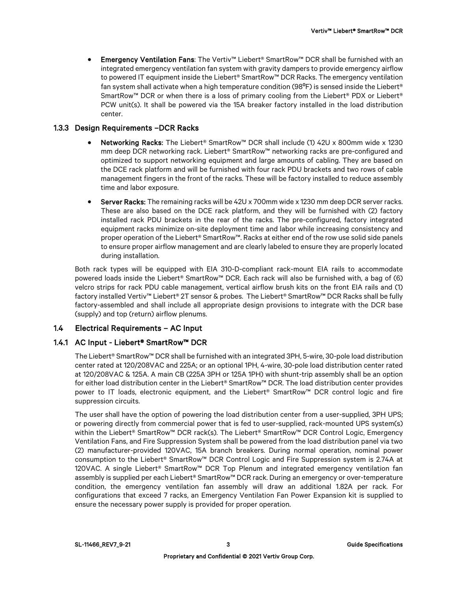• Emergency Ventilation Fans: The Vertiv™ Liebert® SmartRow™ DCR shall be furnished with an integrated emergency ventilation fan system with gravity dampers to provide emergency airflow to powered IT equipment inside the Liebert® SmartRow™ DCR Racks. The emergency ventilation fan system shall activate when a high temperature condition (98 $\text{°F}$ ) is sensed inside the Liebert® SmartRow™ DCR or when there is a loss of primary cooling from the Liebert® PDX or Liebert® PCW unit(s). It shall be powered via the 15A breaker factory installed in the load distribution center.

# 1.3.3 Design Requirements –DCR Racks

- Networking Racks: The Liebert® SmartRow™ DCR shall include (1) 42U x 800mm wide x 1230 mm deep DCR networking rack. Liebert® SmartRow™ networking racks are pre-configured and optimized to support networking equipment and large amounts of cabling. They are based on the DCE rack platform and will be furnished with four rack PDU brackets and two rows of cable management fingers in the front of the racks. These will be factory installed to reduce assembly time and labor exposure.
- Server Racks: The remaining racks will be 42U x 700mm wide x 1230 mm deep DCR server racks. These are also based on the DCE rack platform, and they will be furnished with (2) factory installed rack PDU brackets in the rear of the racks. The pre-configured, factory integrated equipment racks minimize on-site deployment time and labor while increasing consistency and proper operation of the Liebert® SmartRow™. Racks at either end of the row use solid side panels to ensure proper airflow management and are clearly labeled to ensure they are properly located during installation.

Both rack types will be equipped with EIA 310-D-compliant rack-mount EIA rails to accommodate powered loads inside the Liebert® SmartRow™ DCR. Each rack will also be furnished with, a bag of (6) velcro strips for rack PDU cable management, vertical airflow brush kits on the front EIA rails and (1) factory installed Vertiv™ Liebert® 2T sensor & probes. The Liebert® SmartRow™ DCR Racks shall be fully factory-assembled and shall include all appropriate design provisions to integrate with the DCR base (supply) and top (return) airflow plenums.

# 1.4 Electrical Requirements – AC Input

# 1.4.1 AC Input - Liebert® SmartRow™ DCR

The Liebert® SmartRow™ DCR shall be furnished with an integrated 3PH, 5-wire, 30-pole load distribution center rated at 120/208VAC and 225A; or an optional 1PH, 4-wire, 30-pole load distribution center rated at 120/208VAC & 125A. A main CB (225A 3PH or 125A 1PH) with shunt-trip assembly shall be an option for either load distribution center in the Liebert® SmartRow™ DCR. The load distribution center provides power to IT loads, electronic equipment, and the Liebert® SmartRow™ DCR control logic and fire suppression circuits.

The user shall have the option of powering the load distribution center from a user-supplied, 3PH UPS; or powering directly from commercial power that is fed to user-supplied, rack-mounted UPS system(s) within the Liebert® SmartRow™ DCR rack(s). The Liebert® SmartRow™ DCR Control Logic, Emergency Ventilation Fans, and Fire Suppression System shall be powered from the load distribution panel via two (2) manufacturer-provided 120VAC, 15A branch breakers. During normal operation, nominal power consumption to the Liebert® SmartRow™ DCR Control Logic and Fire Suppression system is 2.74A at 120VAC. A single Liebert® SmartRow™ DCR Top Plenum and integrated emergency ventilation fan assembly is supplied per each Liebert® SmartRow™ DCR rack. During an emergency or over-temperature condition, the emergency ventilation fan assembly will draw an additional 1.82A per rack. For configurations that exceed 7 racks, an Emergency Ventilation Fan Power Expansion kit is supplied to ensure the necessary power supply is provided for proper operation.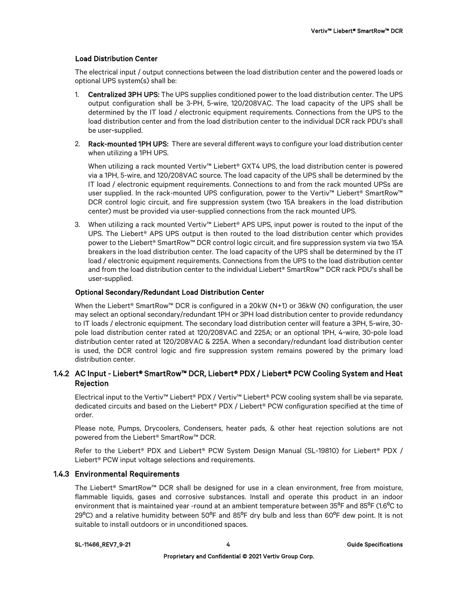### Load Distribution Center

The electrical input / output connections between the load distribution center and the powered loads or optional UPS system(s) shall be:

- 1. Centralized 3PH UPS: The UPS supplies conditioned power to the load distribution center. The UPS output configuration shall be 3-PH, 5-wire, 120/208VAC. The load capacity of the UPS shall be determined by the IT load / electronic equipment requirements. Connections from the UPS to the load distribution center and from the load distribution center to the individual DCR rack PDU's shall be user-supplied.
- 2. Rack-mounted 1PH UPS: There are several different ways to configure your load distribution center when utilizing a 1PH UPS.

When utilizing a rack mounted Vertiv™ Liebert® GXT4 UPS, the load distribution center is powered via a 1PH, 5-wire, and 120/208VAC source. The load capacity of the UPS shall be determined by the IT load / electronic equipment requirements. Connections to and from the rack mounted UPSs are user supplied. In the rack-mounted UPS configuration, power to the Vertiv™ Liebert® SmartRow™ DCR control logic circuit, and fire suppression system (two 15A breakers in the load distribution center) must be provided via user-supplied connections from the rack mounted UPS.

3. When utilizing a rack mounted Vertiv™ Liebert® APS UPS, input power is routed to the input of the UPS. The Liebert® APS UPS output is then routed to the load distribution center which provides power to the Liebert® SmartRow™ DCR control logic circuit, and fire suppression system via two 15A breakers in the load distribution center. The load capacity of the UPS shall be determined by the IT load / electronic equipment requirements. Connections from the UPS to the load distribution center and from the load distribution center to the individual Liebert® SmartRow™ DCR rack PDU's shall be user-supplied.

#### Optional Secondary/Redundant Load Distribution Center

When the Liebert® SmartRow™ DCR is configured in a 20kW (N+1) or 36kW (N) configuration, the user may select an optional secondary/redundant 1PH or 3PH load distribution center to provide redundancy to IT loads / electronic equipment. The secondary load distribution center will feature a 3PH, 5-wire, 30 pole load distribution center rated at 120/208VAC and 225A; or an optional 1PH, 4-wire, 30-pole load distribution center rated at 120/208VAC & 225A. When a secondary/redundant load distribution center is used, the DCR control logic and fire suppression system remains powered by the primary load distribution center.

# 1.4.2 AC Input - Liebert® SmartRow™ DCR, Liebert® PDX / Liebert® PCW Cooling System and Heat **Rejection**

Electrical input to the Vertiv™ Liebert® PDX / Vertiv™ Liebert® PCW cooling system shall be via separate, dedicated circuits and based on the Liebert® PDX / Liebert® PCW configuration specified at the time of order.

Please note, Pumps, Drycoolers, Condensers, heater pads, & other heat rejection solutions are not powered from the Liebert® SmartRow™ DCR.

Refer to the Liebert® PDX and Liebert® PCW System Design Manual (SL-19810) for Liebert® PDX / Liebert® PCW input voltage selections and requirements.

### 1.4.3 Environmental Requirements

The Liebert® SmartRow™ DCR shall be designed for use in a clean environment, free from moisture, flammable liquids, gases and corrosive substances. Install and operate this product in an indoor environment that is maintained year -round at an ambient temperature between 35<sup>o</sup>F and 85<sup>o</sup>F (1.6<sup>o</sup>C to 29 $^{\circ}$ C) and a relative humidity between 50 $^{\circ}$ F and 85 $^{\circ}$ F dry bulb and less than 60 $^{\circ}$ F dew point. It is not suitable to install outdoors or in unconditioned spaces.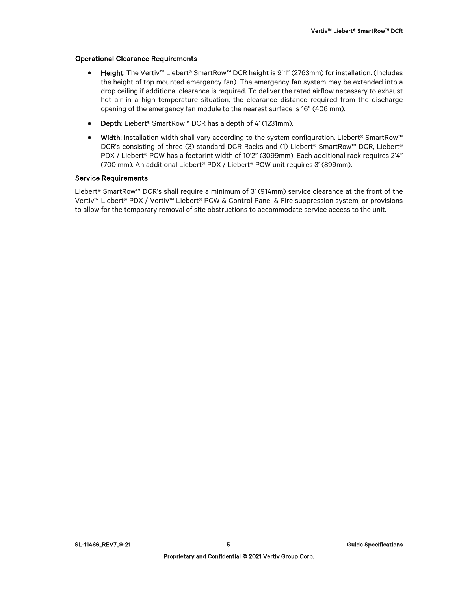### Operational Clearance Requirements

- Height: The Vertiv™ Liebert® SmartRow™ DCR height is 9' 1" (2763mm) for installation. (Includes the height of top mounted emergency fan). The emergency fan system may be extended into a drop ceiling if additional clearance is required. To deliver the rated airflow necessary to exhaust hot air in a high temperature situation, the clearance distance required from the discharge opening of the emergency fan module to the nearest surface is 16" (406 mm).
- Depth: Liebert® SmartRow™ DCR has a depth of 4' (1231mm).
- Width: Installation width shall vary according to the system configuration. Liebert® SmartRow™ DCR's consisting of three (3) standard DCR Racks and (1) Liebert® SmartRow™ DCR, Liebert® PDX / Liebert® PCW has a footprint width of 10'2" (3099mm). Each additional rack requires 2'4" (700 mm). An additional Liebert® PDX / Liebert® PCW unit requires 3' (899mm).

### Service Requirements

Liebert® SmartRow™ DCR's shall require a minimum of 3' (914mm) service clearance at the front of the Vertiv™ Liebert® PDX / Vertiv™ Liebert® PCW & Control Panel & Fire suppression system; or provisions to allow for the temporary removal of site obstructions to accommodate service access to the unit.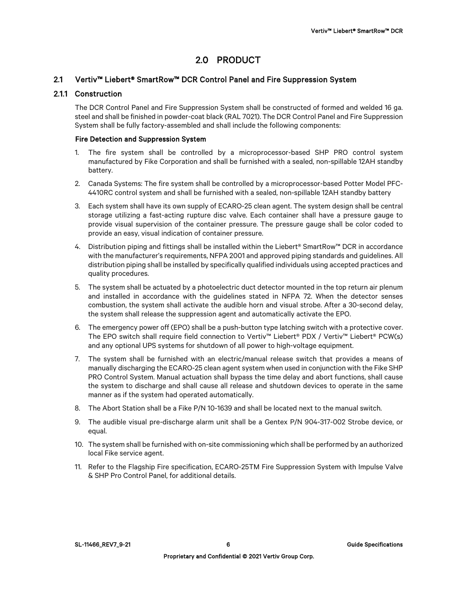# 2.0 PRODUCT

# 2.1 Vertiv™ Liebert® SmartRow™ DCR Control Panel and Fire Suppression System

# 2.1.1 Construction

The DCR Control Panel and Fire Suppression System shall be constructed of formed and welded 16 ga. steel and shall be finished in powder-coat black (RAL 7021). The DCR Control Panel and Fire Suppression System shall be fully factory-assembled and shall include the following components:

### Fire Detection and Suppression System

- 1. The fire system shall be controlled by a microprocessor-based SHP PRO control system manufactured by Fike Corporation and shall be furnished with a sealed, non-spillable 12AH standby battery.
- 2. Canada Systems: The fire system shall be controlled by a microprocessor-based Potter Model PFC-4410RC control system and shall be furnished with a sealed, non-spillable 12AH standby battery
- 3. Each system shall have its own supply of ECARO-25 clean agent. The system design shall be central storage utilizing a fast-acting rupture disc valve. Each container shall have a pressure gauge to provide visual supervision of the container pressure. The pressure gauge shall be color coded to provide an easy, visual indication of container pressure.
- 4. Distribution piping and fittings shall be installed within the Liebert® SmartRow™ DCR in accordance with the manufacturer's requirements, NFPA 2001 and approved piping standards and guidelines. All distribution piping shall be installed by specifically qualified individuals using accepted practices and quality procedures.
- 5. The system shall be actuated by a photoelectric duct detector mounted in the top return air plenum and installed in accordance with the guidelines stated in NFPA 72. When the detector senses combustion, the system shall activate the audible horn and visual strobe. After a 30-second delay, the system shall release the suppression agent and automatically activate the EPO.
- 6. The emergency power off (EPO) shall be a push-button type latching switch with a protective cover. The EPO switch shall require field connection to Vertiv™ Liebert® PDX / Vertiv™ Liebert® PCW(s) and any optional UPS systems for shutdown of all power to high-voltage equipment.
- 7. The system shall be furnished with an electric/manual release switch that provides a means of manually discharging the ECARO-25 clean agent system when used in conjunction with the Fike SHP PRO Control System. Manual actuation shall bypass the time delay and abort functions, shall cause the system to discharge and shall cause all release and shutdown devices to operate in the same manner as if the system had operated automatically.
- 8. The Abort Station shall be a Fike P/N 10-1639 and shall be located next to the manual switch.
- 9. The audible visual pre-discharge alarm unit shall be a Gentex P/N 904-317-002 Strobe device, or equal.
- 10. The system shall be furnished with on-site commissioning which shall be performed by an authorized local Fike service agent.
- 11. Refer to the Flagship Fire specification, ECARO-25TM Fire Suppression System with Impulse Valve & SHP Pro Control Panel, for additional details.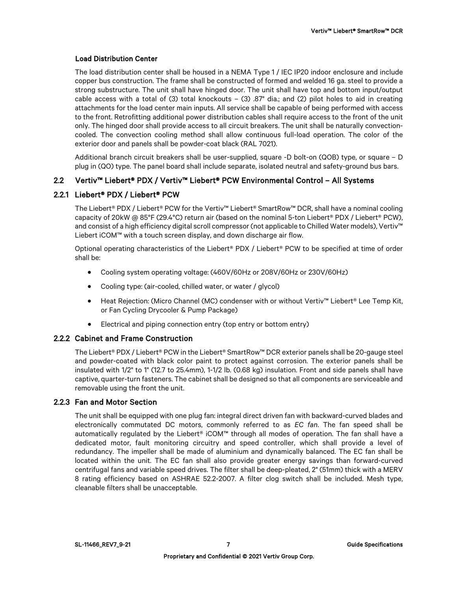### Load Distribution Center

The load distribution center shall be housed in a NEMA Type 1 / IEC IP20 indoor enclosure and include copper bus construction. The frame shall be constructed of formed and welded 16 ga. steel to provide a strong substructure. The unit shall have hinged door. The unit shall have top and bottom input/output cable access with a total of (3) total knockouts  $-$  (3) .87" dia.; and (2) pilot holes to aid in creating attachments for the load center main inputs. All service shall be capable of being performed with access to the front. Retrofitting additional power distribution cables shall require access to the front of the unit only. The hinged door shall provide access to all circuit breakers. The unit shall be naturally convectioncooled. The convection cooling method shall allow continuous full-load operation. The color of the exterior door and panels shall be powder-coat black (RAL 7021).

Additional branch circuit breakers shall be user-supplied, square -D bolt-on (QOB) type, or square – D plug in (QO) type. The panel board shall include separate, isolated neutral and safety-ground bus bars.

# 2.2 Vertiv™ Liebert® PDX / Vertiv™ Liebert® PCW Environmental Control – All Systems

# 2.2.1 Liebert® PDX / Liebert® PCW

The Liebert® PDX / Liebert® PCW for the Vertiv™ Liebert® SmartRow™ DCR, shall have a nominal cooling capacity of 20kW @ 85°F (29.4°C) return air (based on the nominal 5-ton Liebert® PDX / Liebert® PCW), and consist of a high efficiency digital scroll compressor (not applicable to Chilled Water models), Vertiv™ Liebert iCOM™ with a touch screen display, and down discharge air flow.

Optional operating characteristics of the Liebert® PDX / Liebert® PCW to be specified at time of order shall be:

- Cooling system operating voltage: (460V/60Hz or 208V/60Hz or 230V/60Hz)
- Cooling type: (air-cooled, chilled water, or water / glycol)
- Heat Rejection: (Micro Channel (MC) condenser with or without Vertiv™ Liebert® Lee Temp Kit, or Fan Cycling Drycooler & Pump Package)
- Electrical and piping connection entry (top entry or bottom entry)

# 2.2.2 Cabinet and Frame Construction

The Liebert® PDX / Liebert® PCW in the Liebert® SmartRow™ DCR exterior panels shall be 20-gauge steel and powder-coated with black color paint to protect against corrosion. The exterior panels shall be insulated with 1/2" to 1" (12.7 to 25.4mm), 1-1/2 lb. (0.68 kg) insulation. Front and side panels shall have captive, quarter-turn fasteners. The cabinet shall be designed so that all components are serviceable and removable using the front the unit.

# 2.2.3 Fan and Motor Section

The unit shall be equipped with one plug fan: integral direct driven fan with backward-curved blades and electronically commutated DC motors, commonly referred to as *EC fan*. The fan speed shall be automatically regulated by the Liebert® iCOM™ through all modes of operation. The fan shall have a dedicated motor, fault monitoring circuitry and speed controller, which shall provide a level of redundancy. The impeller shall be made of aluminium and dynamically balanced. The EC fan shall be located within the unit. The EC fan shall also provide greater energy savings than forward-curved centrifugal fans and variable speed drives. The filter shall be deep-pleated, 2" (51mm) thick with a MERV 8 rating efficiency based on ASHRAE 52.2-2007. A filter clog switch shall be included. Mesh type, cleanable filters shall be unacceptable.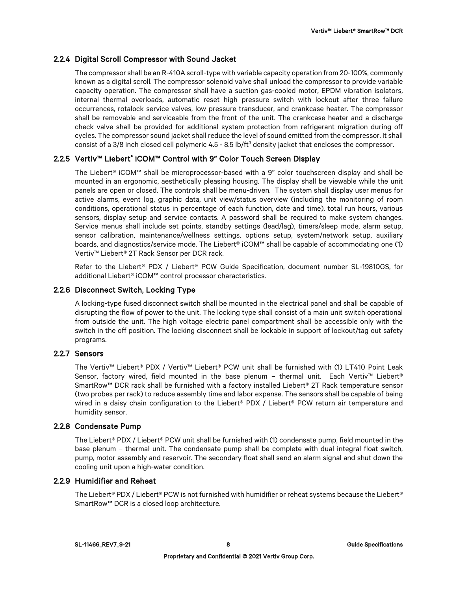# 2.2.4 Digital Scroll Compressor with Sound Jacket

The compressor shall be an R-410A scroll-type with variable capacity operation from 20-100%, commonly known as a digital scroll. The compressor solenoid valve shall unload the compressor to provide variable capacity operation. The compressor shall have a suction gas-cooled motor, EPDM vibration isolators, internal thermal overloads, automatic reset high pressure switch with lockout after three failure occurrences, rotalock service valves, low pressure transducer, and crankcase heater. The compressor shall be removable and serviceable from the front of the unit. The crankcase heater and a discharge check valve shall be provided for additional system protection from refrigerant migration during off cycles. The compressor sound jacket shall reduce the level of sound emitted from the compressor. It shall consist of a 3/8 inch closed cell polymeric  $4.5$  - 8.5 lb/ft<sup>3</sup> density jacket that encloses the compressor.

# 2.2.5 Vertiv™ Liebert® iCOM™ Control with 9" Color Touch Screen Display

The Liebert® iCOM™ shall be microprocessor-based with a 9" color touchscreen display and shall be mounted in an ergonomic, aesthetically pleasing housing. The display shall be viewable while the unit panels are open or closed. The controls shall be menu-driven. The system shall display user menus for active alarms, event log, graphic data, unit view/status overview (including the monitoring of room conditions, operational status in percentage of each function, date and time), total run hours, various sensors, display setup and service contacts. A password shall be required to make system changes. Service menus shall include set points, standby settings (lead/lag), timers/sleep mode, alarm setup, sensor calibration, maintenance/wellness settings, options setup, system/network setup, auxiliary boards, and diagnostics/service mode. The Liebert® iCOM™ shall be capable of accommodating one (1) Vertiv™ Liebert® 2T Rack Sensor per DCR rack.

Refer to the Liebert® PDX / Liebert® PCW Guide Specification, document number SL-19810GS, for additional Liebert® iCOM™ control processor characteristics.

### 2.2.6 Disconnect Switch, Locking Type

A locking-type fused disconnect switch shall be mounted in the electrical panel and shall be capable of disrupting the flow of power to the unit. The locking type shall consist of a main unit switch operational from outside the unit. The high voltage electric panel compartment shall be accessible only with the switch in the off position. The locking disconnect shall be lockable in support of lockout/tag out safety programs.

### 2.2.7 Sensors

The Vertiv™ Liebert® PDX / Vertiv™ Liebert® PCW unit shall be furnished with (1) LT410 Point Leak Sensor, factory wired, field mounted in the base plenum – thermal unit. Each Vertiv™ Liebert® SmartRow™ DCR rack shall be furnished with a factory installed Liebert® 2T Rack temperature sensor (two probes per rack) to reduce assembly time and labor expense. The sensors shall be capable of being wired in a daisy chain configuration to the Liebert® PDX / Liebert® PCW return air temperature and humidity sensor.

### 2.2.8 Condensate Pump

The Liebert® PDX / Liebert® PCW unit shall be furnished with (1) condensate pump, field mounted in the base plenum – thermal unit. The condensate pump shall be complete with dual integral float switch, pump, motor assembly and reservoir. The secondary float shall send an alarm signal and shut down the cooling unit upon a high-water condition.

### 2.2.9 Humidifier and Reheat

The Liebert® PDX / Liebert® PCW is not furnished with humidifier or reheat systems because the Liebert® SmartRow™ DCR is a closed loop architecture.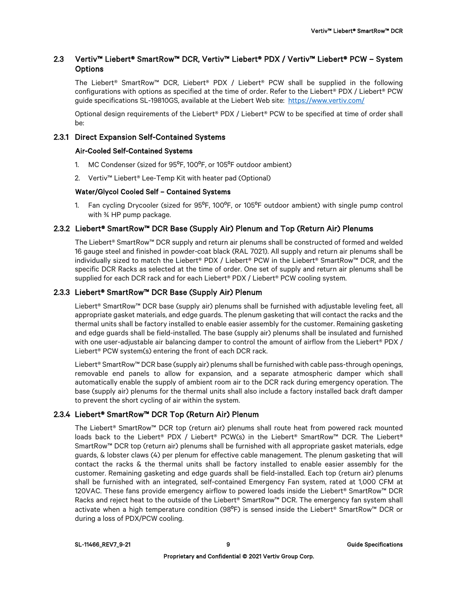# 2.3 Vertiv™ Liebert® SmartRow™ DCR, Vertiv™ Liebert® PDX / Vertiv™ Liebert® PCW – System **Options**

The Liebert® SmartRow™ DCR, Liebert® PDX / Liebert® PCW shall be supplied in the following configurations with options as specified at the time of order. Refer to the Liebert® PDX / Liebert® PCW auide specifications SL-19810GS, available at the Liebert Web site: <https://www.vertiv.com/>

Optional design requirements of the Liebert® PDX / Liebert® PCW to be specified at time of order shall be:

### 2.3.1 Direct Expansion Self-Contained Systems

### Air-Cooled Self-Contained Systems

- 1. MC Condenser (sized for 95<sup>o</sup>F, 100<sup>o</sup>F, or 105<sup>o</sup>F outdoor ambient)
- 2. Vertiv™ Liebert® Lee-Temp Kit with heater pad (Optional)

# Water/Glycol Cooled Self – Contained Systems

1. Fan cycling Drycooler (sized for 95°F, 100°F, or 105°F outdoor ambient) with single pump control with ¾ HP pump package.

# 2.3.2 Liebert® SmartRow™ DCR Base (Supply Air) Plenum and Top (Return Air) Plenums

The Liebert® SmartRow™ DCR supply and return air plenums shall be constructed of formed and welded 16 gauge steel and finished in powder-coat black (RAL 7021). All supply and return air plenums shall be individually sized to match the Liebert® PDX / Liebert® PCW in the Liebert® SmartRow™ DCR, and the specific DCR Racks as selected at the time of order. One set of supply and return air plenums shall be supplied for each DCR rack and for each Liebert® PDX / Liebert® PCW cooling system.

# 2.3.3 Liebert® SmartRow™ DCR Base (Supply Air) Plenum

Liebert® SmartRow™ DCR base (supply air) plenums shall be furnished with adjustable leveling feet, all appropriate gasket materials, and edge guards. The plenum gasketing that will contact the racks and the thermal units shall be factory installed to enable easier assembly for the customer. Remaining gasketing and edge guards shall be field-installed. The base (supply air) plenums shall be insulated and furnished with one user-adjustable air balancing damper to control the amount of airflow from the Liebert® PDX / Liebert® PCW system(s) entering the front of each DCR rack.

Liebert® SmartRow™ DCR base (supply air) plenums shall be furnished with cable pass-through openings, removable end panels to allow for expansion, and a separate atmospheric damper which shall automatically enable the supply of ambient room air to the DCR rack during emergency operation. The base (supply air) plenums for the thermal units shall also include a factory installed back draft damper to prevent the short cycling of air within the system.

# 2.3.4 Liebert® SmartRow™ DCR Top (Return Air) Plenum

The Liebert® SmartRow™ DCR top (return air) plenums shall route heat from powered rack mounted loads back to the Liebert® PDX / Liebert® PCW(s) in the Liebert® SmartRow™ DCR. The Liebert® SmartRow™ DCR top (return air) plenums shall be furnished with all appropriate gasket materials, edge guards, & lobster claws (4) per plenum for effective cable management. The plenum gasketing that will contact the racks & the thermal units shall be factory installed to enable easier assembly for the customer. Remaining gasketing and edge guards shall be field-installed. Each top (return air) plenums shall be furnished with an integrated, self-contained Emergency Fan system, rated at 1,000 CFM at 120VAC. These fans provide emergency airflow to powered loads inside the Liebert® SmartRow™ DCR Racks and reject heat to the outside of the Liebert® SmartRow™ DCR. The emergency fan system shall activate when a high temperature condition (98ºF) is sensed inside the Liebert® SmartRow™ DCR or during a loss of PDX/PCW cooling.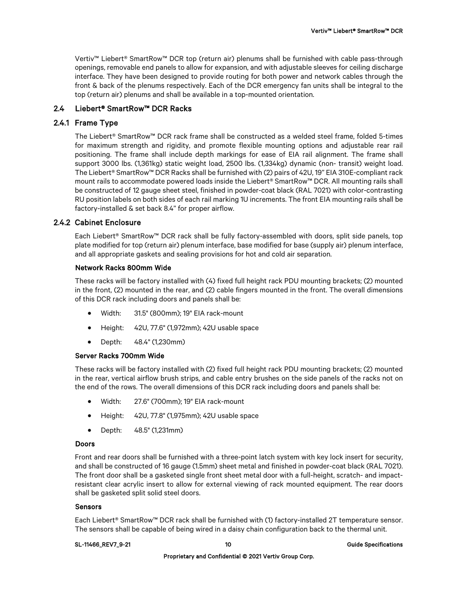Vertiv™ Liebert® SmartRow™ DCR top (return air) plenums shall be furnished with cable pass-through openings, removable end panels to allow for expansion, and with adjustable sleeves for ceiling discharge interface. They have been designed to provide routing for both power and network cables through the front & back of the plenums respectively. Each of the DCR emergency fan units shall be integral to the top (return air) plenums and shall be available in a top-mounted orientation.

# 2.4 Liebert® SmartRow™ DCR Racks

### 2.4.1 Frame Type

The Liebert® SmartRow™ DCR rack frame shall be constructed as a welded steel frame, folded 5-times for maximum strength and rigidity, and promote flexible mounting options and adjustable rear rail positioning. The frame shall include depth markings for ease of EIA rail alignment. The frame shall support 3000 lbs. (1,361kg) static weight load, 2500 lbs. (1,334kg) dynamic (non- transit) weight load. The Liebert® SmartRow™ DCR Racks shall be furnished with (2) pairs of 42U, 19" EIA 310E-compliant rack mount rails to accommodate powered loads inside the Liebert® SmartRow™ DCR. All mounting rails shall be constructed of 12 gauge sheet steel, finished in powder-coat black (RAL 7021) with color-contrasting RU position labels on both sides of each rail marking 1U increments. The front EIA mounting rails shall be factory-installed & set back 8.4" for proper airflow.

### 2.4.2 Cabinet Enclosure

Each Liebert® SmartRow™ DCR rack shall be fully factory-assembled with doors, split side panels, top plate modified for top (return air) plenum interface, base modified for base (supply air) plenum interface, and all appropriate gaskets and sealing provisions for hot and cold air separation.

### Network Racks 800mm Wide

These racks will be factory installed with (4) fixed full height rack PDU mounting brackets; (2) mounted in the front, (2) mounted in the rear, and (2) cable fingers mounted in the front. The overall dimensions of this DCR rack including doors and panels shall be:

- Width: 31.5" (800mm); 19" EIA rack-mount
- Height: 42U, 77.6" (1,972mm); 42U usable space
- Depth: 48.4" (1,230mm)

### Server Racks 700mm Wide

These racks will be factory installed with (2) fixed full height rack PDU mounting brackets; (2) mounted in the rear, vertical airflow brush strips, and cable entry brushes on the side panels of the racks not on the end of the rows. The overall dimensions of this DCR rack including doors and panels shall be:

- Width: 27.6" (700mm); 19" EIA rack-mount
- Height: 42U, 77.8" (1,975mm); 42U usable space
- Depth: 48.5" (1,231mm)

### Doors

Front and rear doors shall be furnished with a three-point latch system with key lock insert for security, and shall be constructed of 16 gauge (1.5mm) sheet metal and finished in powder-coat black (RAL 7021). The front door shall be a gasketed single front sheet metal door with a full-height, scratch- and impactresistant clear acrylic insert to allow for external viewing of rack mounted equipment. The rear doors shall be gasketed split solid steel doors.

#### Sensors

Each Liebert® SmartRow™ DCR rack shall be furnished with (1) factory-installed 2T temperature sensor. The sensors shall be capable of being wired in a daisy chain configuration back to the thermal unit.

#### SL-11466\_REV7\_9-21 10 and the specifications of the specifications of the specifications of the specifications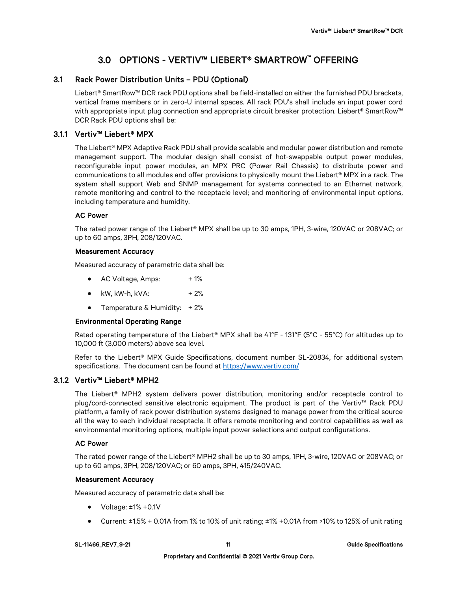# 3.0 OPTIONS - VERTIV™ LIEBERT® SMARTROW™ OFFERING

# 3.1 Rack Power Distribution Units – PDU (Optional)

Liebert® SmartRow™ DCR rack PDU options shall be field-installed on either the furnished PDU brackets, vertical frame members or in zero-U internal spaces. All rack PDU's shall include an input power cord with appropriate input plug connection and appropriate circuit breaker protection. Liebert® SmartRow™ DCR Rack PDU options shall be:

# 3.1.1 Vertiv™ Liebert® MPX

The Liebert® MPX Adaptive Rack PDU shall provide scalable and modular power distribution and remote management support. The modular design shall consist of hot-swappable output power modules, reconfigurable input power modules, an MPX PRC (Power Rail Chassis) to distribute power and communications to all modules and offer provisions to physically mount the Liebert® MPX in a rack. The system shall support Web and SNMP management for systems connected to an Ethernet network, remote monitoring and control to the receptacle level; and monitoring of environmental input options, including temperature and humidity.

### AC Power

The rated power range of the Liebert® MPX shall be up to 30 amps, 1PH, 3-wire, 120VAC or 208VAC; or up to 60 amps, 3PH, 208/120VAC.

### Measurement Accuracy

Measured accuracy of parametric data shall be:

- AC Voltage, Amps: +1%
- kW, kW-h, kVA:  $+2\%$
- Temperature & Humidity: + 2%

### Environmental Operating Range

Rated operating temperature of the Liebert® MPX shall be 41°F - 131°F (5°C - 55°C) for altitudes up to 10,000 ft (3,000 meters) above sea level.

Refer to the Liebert® MPX Guide Specifications, document number SL-20834, for additional system specifications. The document can be found a[t https://www.vertiv.com/](https://www.vertiv.com/en-us/products/brands/liebert/)

# 3.1.2 Vertiv™ Liebert® MPH2

The Liebert® MPH2 system delivers power distribution, monitoring and/or receptacle control to plug/cord-connected sensitive electronic equipment. The product is part of the Vertiv™ Rack PDU platform, a family of rack power distribution systems designed to manage power from the critical source all the way to each individual receptacle. It offers remote monitoring and control capabilities as well as environmental monitoring options, multiple input power selections and output configurations.

# AC Power

The rated power range of the Liebert® MPH2 shall be up to 30 amps, 1PH, 3-wire, 120VAC or 208VAC; or up to 60 amps, 3PH, 208/120VAC; or 60 amps, 3PH, 415/240VAC.

### Measurement Accuracy

Measured accuracy of parametric data shall be:

- Voltage: ±1% +0.1V
- Current:  $\pm 1.5\%$  + 0.01A from 1% to 10% of unit rating;  $\pm 1\%$  +0.01A from >10% to 125% of unit rating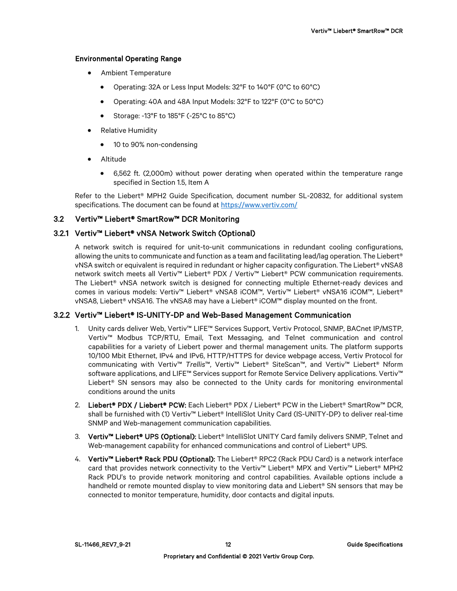### Environmental Operating Range

- Ambient Temperature
	- Operating: 32A or Less Input Models: 32°F to 140°F (0°C to 60°C)
	- Operating: 40A and 48A Input Models: 32°F to 122°F (0°C to 50°C)
	- Storage: -13°F to 185°F (-25°C to 85°C)
- Relative Humidity
	- 10 to 90% non-condensing
- Altitude
	- 6,562 ft. (2,000m) without power derating when operated within the temperature range specified in Section 1.5, Item A

Refer to the Liebert® MPH2 Guide Specification, document number SL-20832, for additional system specifications. The document can be found at [https://www.vertiv.com/](https://www.vertiv.com/en-us/products/brands/liebert/)

# 3.2 Vertiv™ Liebert® SmartRow™ DCR Monitoring

# 3.2.1 Vertiv™ Liebert® vNSA Network Switch (Optional)

A network switch is required for unit-to-unit communications in redundant cooling configurations, allowing the units to communicate and function as a team and facilitating lead/lag operation. The Liebert® vNSA switch or equivalent is required in redundant or higher capacity configuration. The Liebert® vNSA8 network switch meets all Vertiv™ Liebert® PDX / Vertiv™ Liebert® PCW communication requirements. The Liebert® vNSA network switch is designed for connecting multiple Ethernet-ready devices and comes in various models: Vertiv™ Liebert® vNSA8 iCOM™, Vertiv™ Liebert® vNSA16 iCOM™, Liebert® vNSA8, Liebert® vNSA16. The vNSA8 may have a Liebert® iCOM™ display mounted on the front.

# 3.2.2 Vertiv™ Liebert® IS-UNITY-DP and Web-Based Management Communication

- 1. Unity cards deliver Web, Vertiv™ LIFE™ Services Support, Vertiv Protocol, SNMP, BACnet IP/MSTP, Vertiv™ Modbus TCP/RTU, Email, Text Messaging, and Telnet communication and control capabilities for a variety of Liebert power and thermal management units. The platform supports 10/100 Mbit Ethernet, IPv4 and IPv6, HTTP/HTTPS for device webpage access, Vertiv Protocol for communicating with Vertiv™ *Trellis*™, Vertiv™ Liebert® SiteScan™, and Vertiv™ Liebert® Nform software applications, and LIFE™ Services support for Remote Service Delivery applications. Vertiv™ Liebert® SN sensors may also be connected to the Unity cards for monitoring environmental conditions around the units
- 2. Liebert® PDX / Liebert® PCW: Each Liebert® PDX / Liebert® PCW in the Liebert® SmartRow™ DCR, shall be furnished with (1) Vertiv™ Liebert® IntelliSlot Unity Card (IS-UNITY-DP) to deliver real-time SNMP and Web-management communication capabilities.
- 3. Vertiv™ Liebert® UPS (Optional): Liebert® IntelliSlot UNITY Card family delivers SNMP, Telnet and Web-management capability for enhanced communications and control of Liebert<sup>®</sup> UPS.
- 4. Vertiv™ Liebert® Rack PDU (Optional): The Liebert® RPC2 (Rack PDU Card) is a network interface card that provides network connectivity to the Vertiv™ Liebert® MPX and Vertiv™ Liebert® MPH2 Rack PDU's to provide network monitoring and control capabilities. Available options include a handheld or remote mounted display to view monitoring data and Liebert<sup>®</sup> SN sensors that may be connected to monitor temperature, humidity, door contacts and digital inputs.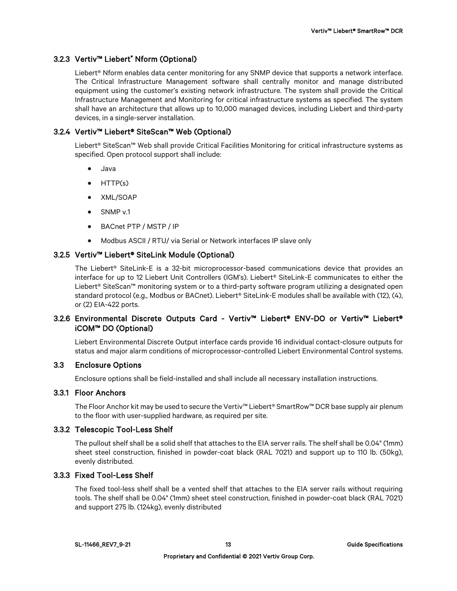# 3.2.3 Vertiv™ Liebert® Nform (Optional)

Liebert® Nform enables data center monitoring for any SNMP device that supports a network interface. The Critical Infrastructure Management software shall centrally monitor and manage distributed equipment using the customer's existing network infrastructure. The system shall provide the Critical Infrastructure Management and Monitoring for critical infrastructure systems as specified. The system shall have an architecture that allows up to 10,000 managed devices, including Liebert and third-party devices, in a single-server installation.

# 3.2.4 Vertiv™ Liebert® SiteScan™ Web (Optional)

Liebert® SiteScan™ Web shall provide Critical Facilities Monitoring for critical infrastructure systems as specified. Open protocol support shall include:

- Java
- HTTP(s)
- XML/SOAP
- SNMP v.1
- BACnet PTP / MSTP / IP
- Modbus ASCII / RTU/ via Serial or Network interfaces IP slave only

# 3.2.5 Vertiv™ Liebert® SiteLink Module (Optional)

The Liebert® SiteLink-E is a 32-bit microprocessor-based communications device that provides an interface for up to 12 Liebert Unit Controllers (IGM's). Liebert® SiteLink-E communicates to either the Liebert® SiteScan™ monitoring system or to a third-party software program utilizing a designated open standard protocol (e.g., Modbus or BACnet). Liebert® SiteLink-E modules shall be available with (12), (4), or (2) EIA-422 ports.

# 3.2.6 Environmental Discrete Outputs Card - Vertiv™ Liebert® ENV-DO or Vertiv™ Liebert® iCOM™ DO (Optional)

Liebert Environmental Discrete Output interface cards provide 16 individual contact-closure outputs for status and major alarm conditions of microprocessor-controlled Liebert Environmental Control systems.

### 3.3 Enclosure Options

Enclosure options shall be field-installed and shall include all necessary installation instructions.

# 3.3.1 Floor Anchors

The Floor Anchor kit may be used to secure the Vertiv™ Liebert® SmartRow™ DCR base supply air plenum to the floor with user-supplied hardware, as required per site.

### 3.3.2 Telescopic Tool-Less Shelf

The pullout shelf shall be a solid shelf that attaches to the EIA server rails. The shelf shall be 0.04" (1mm) sheet steel construction, finished in powder-coat black (RAL 7021) and support up to 110 lb. (50kg), evenly distributed.

### 3.3.3 Fixed Tool-Less Shelf

The fixed tool-less shelf shall be a vented shelf that attaches to the EIA server rails without requiring tools. The shelf shall be 0.04" (1mm) sheet steel construction, finished in powder-coat black (RAL 7021) and support 275 lb. (124kg), evenly distributed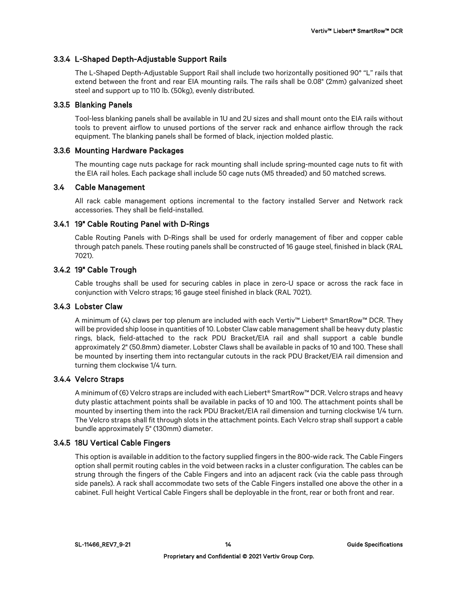### 3.3.4 L-Shaped Depth-Adjustable Support Rails

The L-Shaped Depth-Adjustable Support Rail shall include two horizontally positioned 90° "L" rails that extend between the front and rear EIA mounting rails. The rails shall be 0.08" (2mm) galvanized sheet steel and support up to 110 lb. (50kg), evenly distributed.

### 3.3.5 Blanking Panels

Tool-less blanking panels shall be available in 1U and 2U sizes and shall mount onto the EIA rails without tools to prevent airflow to unused portions of the server rack and enhance airflow through the rack equipment. The blanking panels shall be formed of black, injection molded plastic.

### 3.3.6 Mounting Hardware Packages

The mounting cage nuts package for rack mounting shall include spring-mounted cage nuts to fit with the EIA rail holes. Each package shall include 50 cage nuts (M5 threaded) and 50 matched screws.

### 3.4 Cable Management

All rack cable management options incremental to the factory installed Server and Network rack accessories. They shall be field-installed.

### 3.4.1 19" Cable Routing Panel with D-Rings

Cable Routing Panels with D-Rings shall be used for orderly management of fiber and copper cable through patch panels. These routing panels shall be constructed of 16 gauge steel, finished in black (RAL 7021).

### 3.4.2 19" Cable Trough

Cable troughs shall be used for securing cables in place in zero-U space or across the rack face in conjunction with Velcro straps; 16 gauge steel finished in black (RAL 7021).

### 3.4.3 Lobster Claw

A minimum of (4) claws per top plenum are included with each Vertiv™ Liebert® SmartRow™ DCR. They will be provided ship loose in quantities of 10. Lobster Claw cable management shall be heavy duty plastic rings, black, field-attached to the rack PDU Bracket/EIA rail and shall support a cable bundle approximately 2" (50.8mm) diameter. Lobster Claws shall be available in packs of 10 and 100. These shall be mounted by inserting them into rectangular cutouts in the rack PDU Bracket/EIA rail dimension and turning them clockwise 1/4 turn.

### 3.4.4 Velcro Straps

A minimum of (6) Velcro straps are included with each Liebert® SmartRow™ DCR. Velcro straps and heavy duty plastic attachment points shall be available in packs of 10 and 100. The attachment points shall be mounted by inserting them into the rack PDU Bracket/EIA rail dimension and turning clockwise 1/4 turn. The Velcro straps shall fit through slots in the attachment points. Each Velcro strap shall support a cable bundle approximately 5" (130mm) diameter.

### 3.4.5 18U Vertical Cable Fingers

This option is available in addition to the factory supplied fingers in the 800-wide rack. The Cable Fingers option shall permit routing cables in the void between racks in a cluster configuration. The cables can be strung through the fingers of the Cable Fingers and into an adjacent rack (via the cable pass through side panels). A rack shall accommodate two sets of the Cable Fingers installed one above the other in a cabinet. Full height Vertical Cable Fingers shall be deployable in the front, rear or both front and rear.